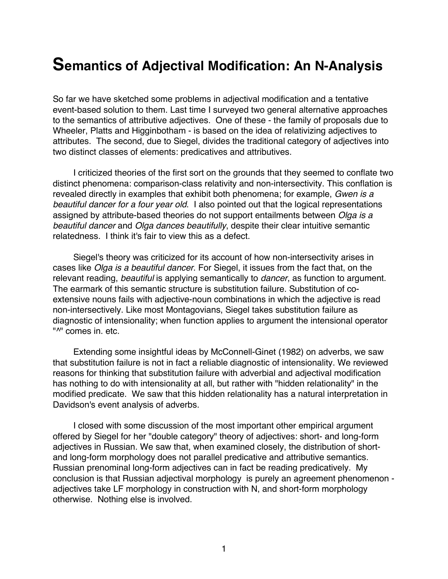# **Semantics of Adjectival Modification: An N-Analysis**

So far we have sketched some problems in adjectival modification and a tentative event-based solution to them. Last time I surveyed two general alternative approaches to the semantics of attributive adjectives. One of these - the family of proposals due to Wheeler, Platts and Higginbotham - is based on the idea of relativizing adjectives to attributes. The second, due to Siegel, divides the traditional category of adjectives into two distinct classes of elements: predicatives and attributives.

I criticized theories of the first sort on the grounds that they seemed to conflate two distinct phenomena: comparison-class relativity and non-intersectivity. This conflation is revealed directly in examples that exhibit both phenomena; for example, *Gwen is a beautiful dancer for a four year old*. I also pointed out that the logical representations assigned by attribute-based theories do not support entailments between *Olga is a beautiful dancer* and *Olga dances beautifully*, despite their clear intuitive semantic relatedness. I think it's fair to view this as a defect.

Siegel's theory was criticized for its account of how non-intersectivity arises in cases like *Olga is a beautiful dancer*. For Siegel, it issues from the fact that, on the relevant reading, *beautiful* is applying semantically to *dancer*, as function to argument. The earmark of this semantic structure is substitution failure. Substitution of coextensive nouns fails with adjective-noun combinations in which the adjective is read non-intersectively. Like most Montagovians, Siegel takes substitution failure as diagnostic of intensionality; when function applies to argument the intensional operator "<sup>^"</sup> comes in. etc.

Extending some insightful ideas by McConnell-Ginet (1982) on adverbs, we saw that substitution failure is not in fact a reliable diagnostic of intensionality. We reviewed reasons for thinking that substitution failure with adverbial and adjectival modification has nothing to do with intensionality at all, but rather with "hidden relationality" in the modified predicate. We saw that this hidden relationality has a natural interpretation in Davidson's event analysis of adverbs.

I closed with some discussion of the most important other empirical argument offered by Siegel for her "double category" theory of adjectives: short- and long-form adjectives in Russian. We saw that, when examined closely, the distribution of shortand long-form morphology does not parallel predicative and attributive semantics. Russian prenominal long-form adjectives can in fact be reading predicatively. My conclusion is that Russian adjectival morphology is purely an agreement phenomenon adjectives take LF morphology in construction with N, and short-form morphology otherwise. Nothing else is involved.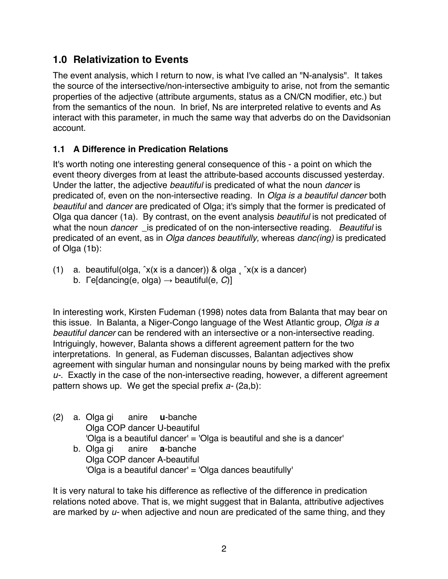## **1.0 Relativization to Events**

The event analysis, which I return to now, is what I've called an "N-analysis". It takes the source of the intersective/non-intersective ambiguity to arise, not from the semantic properties of the adjective (attribute arguments, status as a CN/CN modifier, etc.) but from the semantics of the noun. In brief, Ns are interpreted relative to events and As interact with this parameter, in much the same way that adverbs do on the Davidsonian account.

## **1.1 A Difference in Predication Relations**

It's worth noting one interesting general consequence of this - a point on which the event theory diverges from at least the attribute-based accounts discussed yesterday. Under the latter, the adjective *beautiful* is predicated of what the noun *dancer* is predicated of, even on the non-intersective reading. In *Olga is a beautiful dancer* both *beautiful* and *dancer* are predicated of Olga; it's simply that the former is predicated of Olga qua dancer (1a). By contrast, on the event analysis *beautiful* is not predicated of what the noun *dancer* \_is predicated of on the non-intersective reading. *Beautiful* is predicated of an event, as in *Olga dances beautifully,* whereas *danc(ing)* is predicated of Olga (1b):

(1) a. beautiful(olga,  $\hat{x}$ (x is a dancer)) & olga  $\hat{x}$ (x is a dancer) b. Γe[dancing(e, olga) → beautiful(e, *C*)]

In interesting work, Kirsten Fudeman (1998) notes data from Balanta that may bear on this issue. In Balanta, a Niger-Congo language of the West Atlantic group, *Olga is a beautiful dancer* can be rendered with an intersective or a non-intersective reading. Intriguingly, however, Balanta shows a different agreement pattern for the two interpretations. In general, as Fudeman discusses, Balantan adjectives show agreement with singular human and nonsingular nouns by being marked with the prefix *u-*. Exactly in the case of the non-intersective reading, however, a different agreement pattern shows up. We get the special prefix *a-* (2a,b):

(2) a. Olga gi anire **u**-banche Olga COP dancer U-beautiful 'Olga is a beautiful dancer' = 'Olga is beautiful and she is a dancer' b. Olga gi anire **a**-banche Olga COP dancer A-beautiful

'Olga is a beautiful dancer' = 'Olga dances beautifully'

It is very natural to take his difference as reflective of the difference in predication relations noted above. That is, we might suggest that in Balanta, attributive adjectives are marked by *u-* when adjective and noun are predicated of the same thing, and they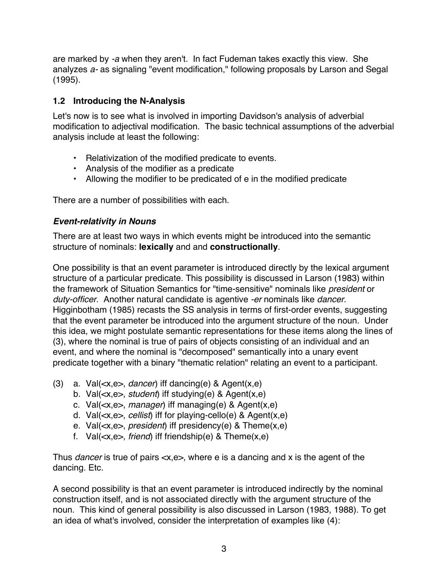are marked by *-a* when they aren't. In fact Fudeman takes exactly this view. She analyzes *a-* as signaling "event modification," following proposals by Larson and Segal (1995).

#### **1.2 Introducing the N-Analysis**

Let's now is to see what is involved in importing Davidson's analysis of adverbial modification to adjectival modification. The basic technical assumptions of the adverbial analysis include at least the following:

- Relativization of the modified predicate to events.
- Analysis of the modifier as a predicate
- Allowing the modifier to be predicated of e in the modified predicate

There are a number of possibilities with each.

#### *Event-relativity in Nouns*

There are at least two ways in which events might be introduced into the semantic structure of nominals: **lexically** and and **constructionally**.

One possibility is that an event parameter is introduced directly by the lexical argument structure of a particular predicate. This possibility is discussed in Larson (1983) within the framework of Situation Semantics for "time-sensitive" nominals like *president* or *duty-officer*. Another natural candidate is agentive *-er* nominals like *dancer*. Higginbotham (1985) recasts the SS analysis in terms of first-order events, suggesting that the event parameter be introduced into the argument structure of the noun. Under this idea, we might postulate semantic representations for these items along the lines of (3), where the nominal is true of pairs of objects consisting of an individual and an event, and where the nominal is "decomposed" semantically into a unary event predicate together with a binary "thematic relation" relating an event to a participant.

- (3) a. Val(<x,e>, *dancer*) iff dancing(e) & Agent(x,e)
	- b. Val(<x,e>, *student*) iff studying(e) & Agent(x,e)
	- c. Val(<x,e>, *manager*) iff managing(e) & Agent(x,e)
	- d. Val(<x,e>, *cellist*) iff for playing-cello(e) & Agent(x,e)
	- e. Val(<x,e>, *president*) iff presidency(e) & Theme(x,e)
	- f. Val(<x,e>, *friend*) iff friendship(e) & Theme(x,e)

Thus *dancer* is true of pairs <x,e>, where e is a dancing and x is the agent of the dancing. Etc.

A second possibility is that an event parameter is introduced indirectly by the nominal construction itself, and is not associated directly with the argument structure of the noun. This kind of general possibility is also discussed in Larson (1983, 1988). To get an idea of what's involved, consider the interpretation of examples like (4):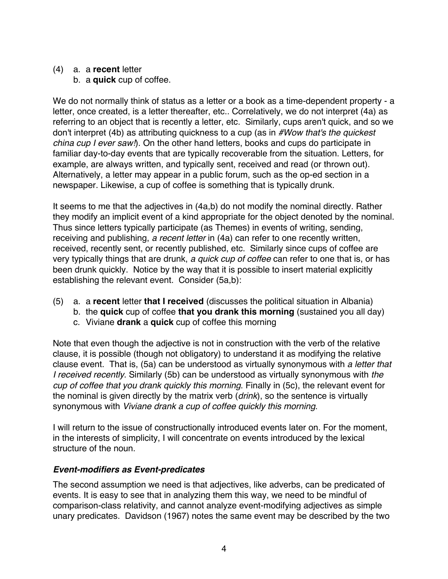#### (4) a. a **recent** letter

b. a **quick** cup of coffee.

We do not normally think of status as a letter or a book as a time-dependent property - a letter, once created, is a letter thereafter, etc.. Correlatively, we do not interpret (4a) as referring to an object that is recently a letter, etc. Similarly, cups aren't quick, and so we don't interpret (4b) as attributing quickness to a cup (as in *#Wow that's the quickest china cup I ever saw!*). On the other hand letters, books and cups do participate in familiar day-to-day events that are typically recoverable from the situation. Letters, for example, are always written, and typically sent, received and read (or thrown out). Alternatively, a letter may appear in a public forum, such as the op-ed section in a newspaper. Likewise, a cup of coffee is something that is typically drunk.

It seems to me that the adjectives in (4a,b) do not modify the nominal directly. Rather they modify an implicit event of a kind appropriate for the object denoted by the nominal. Thus since letters typically participate (as Themes) in events of writing, sending, receiving and publishing, *a recent letter* in (4a) can refer to one recently written, received, recently sent, or recently published, etc. Similarly since cups of coffee are very typically things that are drunk, *a quick cup of coffee* can refer to one that is, or has been drunk quickly. Notice by the way that it is possible to insert material explicitly establishing the relevant event. Consider (5a,b):

- (5) a. a **recent** letter **that I received** (discusses the political situation in Albania)
	- b. the **quick** cup of coffee **that you drank this morning** (sustained you all day)
	- c. Viviane **drank** a **quick** cup of coffee this morning

Note that even though the adjective is not in construction with the verb of the relative clause, it is possible (though not obligatory) to understand it as modifying the relative clause event. That is, (5a) can be understood as virtually synonymous with *a letter that I received recently*. Similarly (5b) can be understood as virtually synonymous with *the cup of coffee that you drank quickly this morning*. Finally in (5c), the relevant event for the nominal is given directly by the matrix verb (*drink*), so the sentence is virtually synonymous with *Viviane drank a cup of coffee quickly this morning*.

I will return to the issue of constructionally introduced events later on. For the moment, in the interests of simplicity, I will concentrate on events introduced by the lexical structure of the noun.

## *Event-modifiers as Event-predicates*

The second assumption we need is that adjectives, like adverbs, can be predicated of events. It is easy to see that in analyzing them this way, we need to be mindful of comparison-class relativity, and cannot analyze event-modifying adjectives as simple unary predicates. Davidson (1967) notes the same event may be described by the two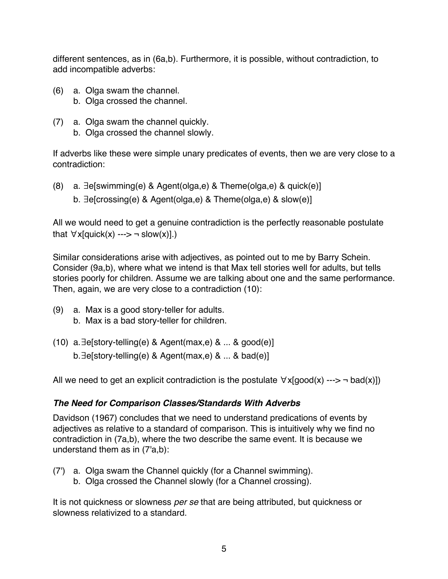different sentences, as in (6a,b). Furthermore, it is possible, without contradiction, to add incompatible adverbs:

- (6) a. Olga swam the channel.
	- b. Olga crossed the channel.
- (7) a. Olga swam the channel quickly.
	- b. Olga crossed the channel slowly.

If adverbs like these were simple unary predicates of events, then we are very close to a contradiction:

(8) a. ∃e[swimming(e) & Agent(olga,e) & Theme(olga,e) & quick(e)] b. ∃e[crossing(e) & Agent(olga,e) & Theme(olga,e) & slow(e)]

All we would need to get a genuine contradiction is the perfectly reasonable postulate that  $\forall x$ [quick(x) ---> ¬ slow(x)].)

Similar considerations arise with adjectives, as pointed out to me by Barry Schein. Consider (9a,b), where what we intend is that Max tell stories well for adults, but tells stories poorly for children. Assume we are talking about one and the same performance. Then, again, we are very close to a contradiction (10):

- (9) a. Max is a good story-teller for adults. b. Max is a bad story-teller for children.
- (10) a.∃e[story-telling(e) & Agent(max,e) & ... & good(e)] b.∃e[story-telling(e) & Agent(max,e) & ... & bad(e)]

All we need to get an explicit contradiction is the postulate  $\forall x$ [good(x) ---> ¬ bad(x)])

#### *The Need for Comparison Classes/Standards With Adverbs*

Davidson (1967) concludes that we need to understand predications of events by adjectives as relative to a standard of comparison. This is intuitively why we find no contradiction in (7a,b), where the two describe the same event. It is because we understand them as in (7'a,b):

- (7') a. Olga swam the Channel quickly (for a Channel swimming).
	- b. Olga crossed the Channel slowly (for a Channel crossing).

It is not quickness or slowness *per se* that are being attributed, but quickness or slowness relativized to a standard.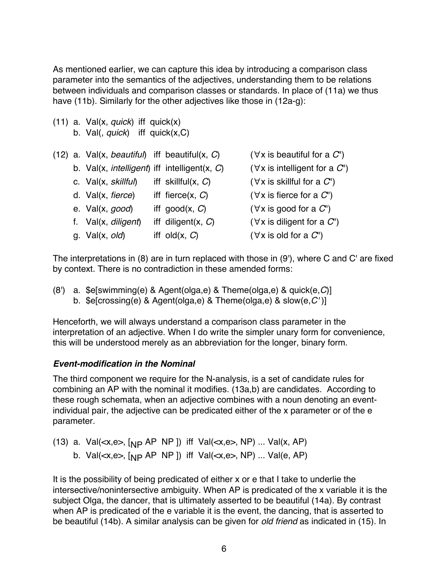As mentioned earlier, we can capture this idea by introducing a comparison class parameter into the semantics of the adjectives, understanding them to be relations between individuals and comparison classes or standards. In place of (11a) we thus have (11b). Similarly for the other adjectives like those in (12a-g):

(11) a. Val(x, *quick*) iff quick(x) b. Val(, *quick*) iff quick(x,C)

|  | (12) a. Val(x, beautiful) iff beautiful(x, $C$ )   |                       | $(\forall x$ is beautiful for a $C'$   |
|--|----------------------------------------------------|-----------------------|----------------------------------------|
|  | b. Val $(x,$ intelligent) iff intelligent $(x, C)$ |                       | $(\forall x$ is intelligent for a $C'$ |
|  | c. Val(x, skillful)                                | iff skillful $(x, C)$ | $(\forall x$ is skillful for a $C'$    |
|  | d. $Val(x, \text{fience})$                         | iff fierce $(x, C)$   | $(\forall x$ is fierce for a $C'$      |
|  | e. Val(x, good)                                    | iff $good(x, C)$      | $(\forall x$ is good for a $C'$        |
|  | f. Val(x, diligent)                                | iff diligent $(x, C)$ | $(\forall x$ is diligent for a $C'$    |
|  | g. $Val(x, old)$                                   | iff old $(x, C)$      | $(\forall x \text{ is old for a } C')$ |

The interpretations in (8) are in turn replaced with those in (9'), where C and C' are fixed by context. There is no contradiction in these amended forms:

(8') a. \$e[swimming(e) & Agent(olga,e) & Theme(olga,e) & quick(e,*C*)] b. \$e[crossing(e) & Agent(olga,e) & Theme(olga,e) & slow(e,*C'* )]

Henceforth, we will always understand a comparison class parameter in the interpretation of an adjective. When I do write the simpler unary form for convenience, this will be understood merely as an abbreviation for the longer, binary form.

#### *Event-modification in the Nominal*

The third component we require for the N-analysis, is a set of candidate rules for combining an AP with the nominal it modifies. (13a,b) are candidates. According to these rough schemata, when an adjective combines with a noun denoting an eventindividual pair, the adjective can be predicated either of the x parameter or of the e parameter.

(13) a. Val $(\lll x,e)$ ,  $\lceil_{NP}$  AP NP  $\rceil$ ) iff Val $(\lll x,e)$ , NP) ... Val $(x, AP)$ b. Val $(\lll, e)$ ,  $[NP \text{AP NP }])$  iff Val $(\lll, e)$ , NP) ... Val $(e, AP)$ 

It is the possibility of being predicated of either x or e that I take to underlie the intersective/nonintersective ambiguity. When AP is predicated of the x variable it is the subject Olga, the dancer, that is ultimately asserted to be beautiful (14a). By contrast when AP is predicated of the e variable it is the event, the dancing, that is asserted to be beautiful (14b). A similar analysis can be given for *old friend* as indicated in (15). In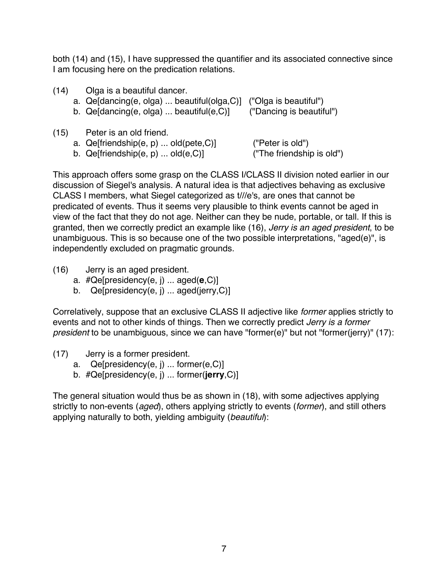both (14) and (15), I have suppressed the quantifier and its associated connective since I am focusing here on the predication relations.

| (14) | Olga is a beautiful dancer.<br>a. Qe[dancing(e, olga)  beautiful(olga, C)]<br>b. $Qe[dencing(e, olga) \dots$ beautiful $(e, C)$ ] | ("Olga is beautiful")<br>("Dancing is beautiful") |
|------|-----------------------------------------------------------------------------------------------------------------------------------|---------------------------------------------------|
| (15) | Peter is an old friend.<br>a. $Qe[$ friendship $(e, p)$ old $(pete, C)]$<br>b. $Qeffriendship(e, p) \dots old(e, C)$              | ("Peter is old")<br>("The friendship is old")     |

This approach offers some grasp on the CLASS I/CLASS II division noted earlier in our discussion of Siegel's analysis. A natural idea is that adjectives behaving as exclusive CLASS I members, what Siegel categorized as t///e's, are ones that cannot be predicated of events. Thus it seems very plausible to think events cannot be aged in view of the fact that they do not age. Neither can they be nude, portable, or tall. If this is granted, then we correctly predict an example like (16), *Jerry is an aged president*, to be unambiguous. This is so because one of the two possible interpretations, "aged(e)", is independently excluded on pragmatic grounds.

- (16) Jerry is an aged president.
	- a. #Qe[presidency(e, j) ... aged(**e**,C)]
	- b. Qe[presidency(e, j) ... aged(jerry,C)]

Correlatively, suppose that an exclusive CLASS II adjective like *former* applies strictly to events and not to other kinds of things. Then we correctly predict *Jerry is a former president* to be unambiguous, since we can have "former(e)" but not "former(jerry)" (17):

- (17) Jerry is a former president.
	- a. Qe[presidency(e, j) ... former(e,C)]
	- b. #Qe[presidency(e, j) ... former(**jerry**,C)]

The general situation would thus be as shown in (18), with some adjectives applying strictly to non-events (*aged*), others applying strictly to events (*former*), and still others applying naturally to both, yielding ambiguity (*beautiful*):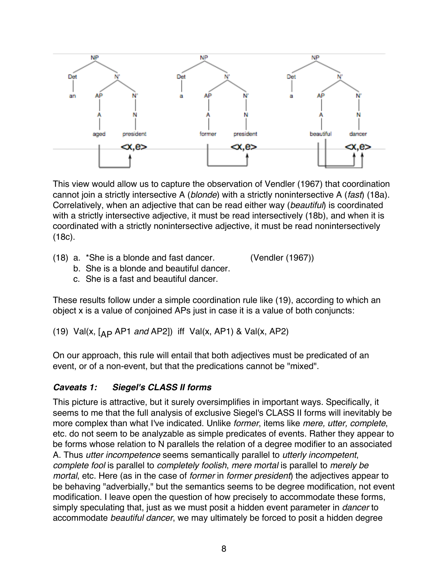

This view would allow us to capture the observation of Vendler (1967) that coordination cannot join a strictly intersective A (*blonde*) with a strictly nonintersective A (*fast*) (18a). Correlatively, when an adjective that can be read either way (*beautiful*) is coordinated with a strictly intersective adjective, it must be read intersectively (18b), and when it is coordinated with a strictly nonintersective adjective, it must be read nonintersectively (18c).

(18) a. \*She is a blonde and fast dancer. (Vendler (1967))

- b. She is a blonde and beautiful dancer.
- c. She is a fast and beautiful dancer.

These results follow under a simple coordination rule like (19), according to which an object x is a value of conjoined APs just in case it is a value of both conjuncts:

(19) Val(x, [AP AP1 *and* AP2]) iff Val(x, AP1) & Val(x, AP2)

On our approach, this rule will entail that both adjectives must be predicated of an event, or of a non-event, but that the predications cannot be "mixed".

## *Caveats 1: Siegel's CLASS II forms*

This picture is attractive, but it surely oversimplifies in important ways. Specifically, it seems to me that the full analysis of exclusive Siegel's CLASS II forms will inevitably be more complex than what I've indicated. Unlike *former*, items like *mere, utter, complete*, etc. do not seem to be analyzable as simple predicates of events. Rather they appear to be forms whose relation to N parallels the relation of a degree modifier to an associated A. Thus *utter incompetence* seems semantically parallel to *utterly incompetent*, *complete fool* is parallel to *completely foolish*, *mere mortal* is parallel to *merely be mortal*, etc. Here (as in the case of *former* in *former president*) the adjectives appear to be behaving "adverbially," but the semantics seems to be degree modification, not event modification. I leave open the question of how precisely to accommodate these forms, simply speculating that, just as we must posit a hidden event parameter in *dancer* to accommodate *beautiful dancer*, we may ultimately be forced to posit a hidden degree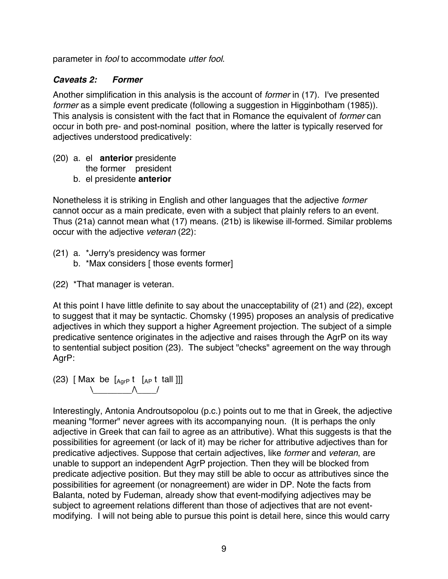parameter in *fool* to accommodate *utter fool*.

#### *Caveats 2: Former*

Another simplification in this analysis is the account of *former* in (17). I've presented *former* as a simple event predicate (following a suggestion in Higginbotham (1985)). This analysis is consistent with the fact that in Romance the equivalent of *former* can occur in both pre- and post-nominal position, where the latter is typically reserved for adjectives understood predicatively:

- (20) a. el **anterior** presidente the former president
	- b. el presidente **anterior**

Nonetheless it is striking in English and other languages that the adjective *former* cannot occur as a main predicate, even with a subject that plainly refers to an event. Thus (21a) cannot mean what (17) means. (21b) is likewise ill-formed. Similar problems occur with the adjective *veteran* (22):

- (21) a. \*Jerry's presidency was former
	- b. \*Max considers [ those events former]
- (22) \*That manager is veteran.

At this point I have little definite to say about the unacceptability of (21) and (22), except to suggest that it may be syntactic. Chomsky (1995) proposes an analysis of predicative adjectives in which they support a higher Agreement projection. The subject of a simple predicative sentence originates in the adjective and raises through the AgrP on its way to sentential subject position (23). The subject "checks" agreement on the way through AgrP:

(23) [Max be  $[A_{\text{grP}} t \quad [A_{\text{P}} t \quad \text{fall}]]]$  $\setminus$   $\setminus$   $\setminus$   $\setminus$ 

Interestingly, Antonia Androutsopolou (p.c.) points out to me that in Greek, the adjective meaning "former" never agrees with its accompanying noun. (It is perhaps the only adjective in Greek that can fail to agree as an attributive). What this suggests is that the possibilities for agreement (or lack of it) may be richer for attributive adjectives than for predicative adjectives. Suppose that certain adjectives, like *former* and *veteran*, are unable to support an independent AgrP projection. Then they will be blocked from predicate adjective position. But they may still be able to occur as attributives since the possibilities for agreement (or nonagreement) are wider in DP. Note the facts from Balanta, noted by Fudeman, already show that event-modifying adjectives may be subject to agreement relations different than those of adjectives that are not eventmodifying. I will not being able to pursue this point is detail here, since this would carry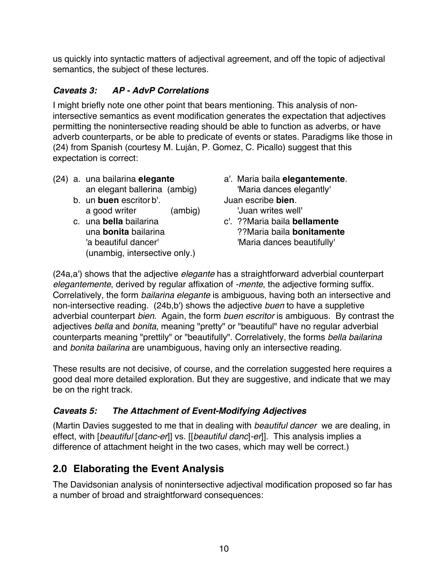us quickly into syntactic matters of adjectival agreement, and off the topic of adjectival semantics, the subject of these lectures.

## *Caveats 3: AP - AdvP Correlations*

I might briefly note one other point that bears mentioning. This analysis of nonintersective semantics as event modification generates the expectation that adjectives permitting the nonintersective reading should be able to function as adverbs, or have adverb counterparts, or be able to predicate of events or states. Paradigms like those in (24) from Spanish (courtesy M. Luján, P. Gomez, C. Picallo) suggest that this expectation is correct:

- (24) a. una bailarina **elegante** a'. Maria baila **elegantemente**.
	- b. un **buen** escritor b'. Juan escribe **bien**. a good writer (ambig) but a good writes well
	- c. una **bella** bailarina c'. ??Maria baila **bellamente** 'a beautiful dancer'  $\blacksquare$  'Maria dances beautifully' (unambig, intersective only.)
- an elegant ballerina (ambig) 'Maria dances elegantly'
- una **bonita** bailarina ??Maria baila **bonitamente**

(24a,a') shows that the adjective *elegante* has a straightforward adverbial counterpart *elegantemente*, derived by regular affixation of *-mente*, the adjective forming suffix. Correlatively, the form *bailarina elegante* is ambiguous, having both an intersective and non-intersective reading. (24b,b') shows the adjective *buen* to have a suppletive adverbial counterpart *bien*. Again, the form *buen escritor* is ambiguous. By contrast the adjectives *bella* and *bonita*, meaning "pretty" or "beautiful" have no regular adverbial counterparts meaning "prettily" or "beautifully". Correlatively, the forms *bella bailarina* and *bonita bailarina* are unambiguous, having only an intersective reading.

These results are not decisive, of course, and the correlation suggested here requires a good deal more detailed exploration. But they are suggestive, and indicate that we may be on the right track.

## *Caveats 5: The Attachment of Event-Modifying Adjectives*

(Martin Davies suggested to me that in dealing with *beautiful dancer* we are dealing, in effect, with [*beautiful* [*danc-er*]] vs. [[*beautiful danc*]*-er*]]. This analysis implies a difference of attachment height in the two cases, which may well be correct.)

# **2.0 Elaborating the Event Analysis**

The Davidsonian analysis of nonintersective adjectival modification proposed so far has a number of broad and straightforward consequences: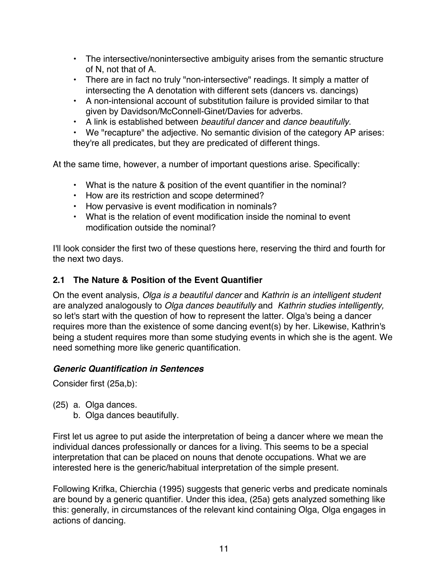- The intersective/nonintersective ambiguity arises from the semantic structure of N, not that of A.
- There are in fact no truly "non-intersective" readings. It simply a matter of intersecting the A denotation with different sets (dancers vs. dancings)
- A non-intensional account of substitution failure is provided similar to that given by Davidson/McConnell-Ginet/Davies for adverbs.
- A link is established between *beautiful dancer* and *dance beautifully*.

• We "recapture" the adjective. No semantic division of the category AP arises: they're all predicates, but they are predicated of different things.

At the same time, however, a number of important questions arise. Specifically:

- What is the nature & position of the event quantifier in the nominal?
- How are its restriction and scope determined?
- How pervasive is event modification in nominals?
- What is the relation of event modification inside the nominal to event modification outside the nominal?

I'll look consider the first two of these questions here, reserving the third and fourth for the next two days.

#### **2.1 The Nature & Position of the Event Quantifier**

On the event analysis, *Olga is a beautiful dancer* and *Kathrin is an intelligent student* are analyzed analogously to *Olga dances beautifully* and *Kathrin studies intelligently,*  so let's start with the question of how to represent the latter. Olga's being a dancer requires more than the existence of some dancing event(s) by her. Likewise, Kathrin's being a student requires more than some studying events in which she is the agent. We need something more like generic quantification.

#### *Generic Quantification in Sentences*

Consider first (25a,b):

- (25) a. Olga dances.
	- b. Olga dances beautifully.

First let us agree to put aside the interpretation of being a dancer where we mean the individual dances professionally or dances for a living. This seems to be a special interpretation that can be placed on nouns that denote occupations. What we are interested here is the generic/habitual interpretation of the simple present.

Following Krifka, Chierchia (1995) suggests that generic verbs and predicate nominals are bound by a generic quantifier. Under this idea, (25a) gets analyzed something like this: generally, in circumstances of the relevant kind containing Olga, Olga engages in actions of dancing.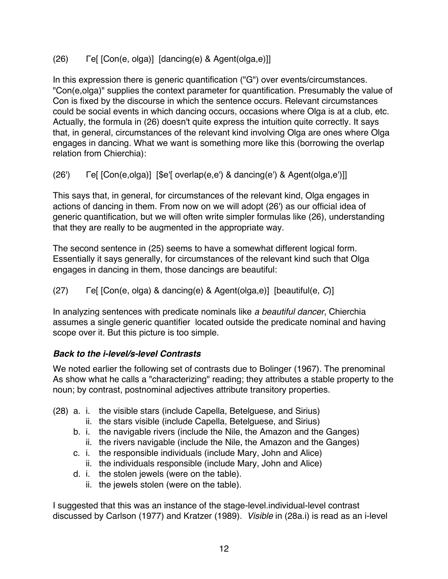## (26) Γe[ [Con(e, olga)] [dancing(e) & Agent(olga,e)]]

In this expression there is generic quantification ("G") over events/circumstances. "Con(e,olga)" supplies the context parameter for quantification. Presumably the value of Con is fixed by the discourse in which the sentence occurs. Relevant circumstances could be social events in which dancing occurs, occasions where Olga is at a club, etc. Actually, the formula in (26) doesn't quite express the intuition quite correctly. It says that, in general, circumstances of the relevant kind involving Olga are ones where Olga engages in dancing. What we want is something more like this (borrowing the overlap relation from Chierchia):

(26') Γe[ [Con(e,olga)] [\$e'[ overlap(e,e') & dancing(e') & Agent(olga,e')]]

This says that, in general, for circumstances of the relevant kind, Olga engages in actions of dancing in them. From now on we will adopt (26') as our official idea of generic quantification, but we will often write simpler formulas like (26), understanding that they are really to be augmented in the appropriate way.

The second sentence in (25) seems to have a somewhat different logical form. Essentially it says generally, for circumstances of the relevant kind such that Olga engages in dancing in them, those dancings are beautiful:

## (27) Γe[ [Con(e, olga) & dancing(e) & Agent(olga,e)] [beautiful(e, *C*)]

In analyzing sentences with predicate nominals like *a beautiful dancer*, Chierchia assumes a single generic quantifier located outside the predicate nominal and having scope over it. But this picture is too simple.

## *Back to the i-level/s-level Contrasts*

We noted earlier the following set of contrasts due to Bolinger (1967). The prenominal As show what he calls a "characterizing" reading; they attributes a stable property to the noun; by contrast, postnominal adjectives attribute transitory properties.

- (28) a. i. the visible stars (include Capella, Betelguese, and Sirius)
	- ii. the stars visible (include Capella, Betelguese, and Sirius)
	- b. i. the navigable rivers (include the Nile, the Amazon and the Ganges) ii. the rivers navigable (include the Nile, the Amazon and the Ganges)
	- c. i. the responsible individuals (include Mary, John and Alice)
		- ii. the individuals responsible (include Mary, John and Alice)
	- d. i. the stolen jewels (were on the table).
		- ii. the jewels stolen (were on the table).

I suggested that this was an instance of the stage-level.individual-level contrast discussed by Carlson (1977) and Kratzer (1989). *Visible* in (28a.i) is read as an i-level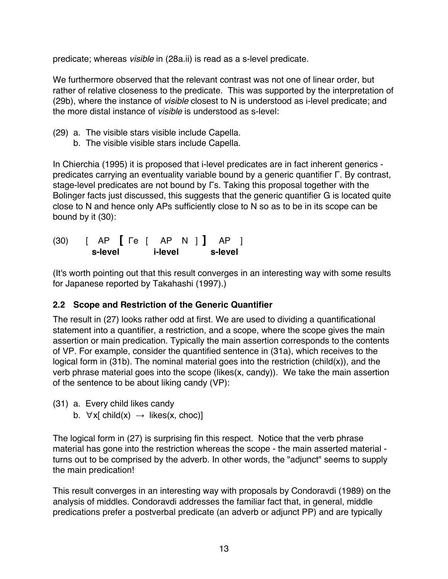predicate; whereas *visible* in (28a.ii) is read as a s-level predicate.

We furthermore observed that the relevant contrast was not one of linear order, but rather of relative closeness to the predicate. This was supported by the interpretation of (29b), where the instance of *visible* closest to N is understood as i-level predicate; and the more distal instance of *visible* is understood as s-level:

- (29) a. The visible stars visible include Capella.
	- b. The visible visible stars include Capella.

In Chierchia (1995) it is proposed that i-level predicates are in fact inherent generics predicates carrying an eventuality variable bound by a generic quantifier Γ. By contrast, stage-level predicates are not bound by Γs. Taking this proposal together with the Bolinger facts just discussed, this suggests that the generic quantifier G is located quite close to N and hence only APs sufficiently close to N so as to be in its scope can be bound by it (30):

(30) [ AP **[** Γe [ AP N ] **]** AP ] **s-level i-level s-level**

(It's worth pointing out that this result converges in an interesting way with some results for Japanese reported by Takahashi (1997).)

## **2.2 Scope and Restriction of the Generic Quantifier**

The result in (27) looks rather odd at first. We are used to dividing a quantificational statement into a quantifier, a restriction, and a scope, where the scope gives the main assertion or main predication. Typically the main assertion corresponds to the contents of VP. For example, consider the quantified sentence in (31a), which receives to the logical form in (31b). The nominal material goes into the restriction (child(x)), and the verb phrase material goes into the scope (likes(x, candy)). We take the main assertion of the sentence to be about liking candy (VP):

- (31) a. Every child likes candy
	- b.  $\forall x$ [ child(x)  $\rightarrow$  likes(x, choc)]

The logical form in (27) is surprising fin this respect. Notice that the verb phrase material has gone into the restriction whereas the scope - the main asserted material turns out to be comprised by the adverb. In other words, the "adjunct" seems to supply the main predication!

This result converges in an interesting way with proposals by Condoravdi (1989) on the analysis of middles. Condoravdi addresses the familiar fact that, in general, middle predications prefer a postverbal predicate (an adverb or adjunct PP) and are typically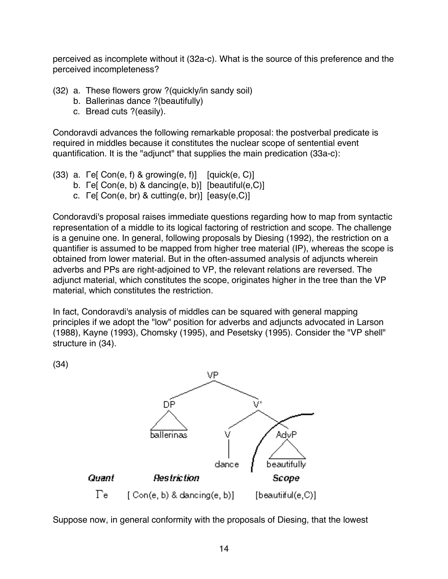perceived as incomplete without it (32a-c). What is the source of this preference and the perceived incompleteness?

- (32) a. These flowers grow ?(quickly/in sandy soil)
	- b. Ballerinas dance ?(beautifully)
	- c. Bread cuts ?(easily).

Condoravdi advances the following remarkable proposal: the postverbal predicate is required in middles because it constitutes the nuclear scope of sentential event quantification. It is the "adjunct" that supplies the main predication (33a-c):

- (33) a. Fe[ Con(e, f) & growing(e, f)]  $[quick(e, C)]$ 
	- b. Γe[ Con(e, b) & dancing(e, b)] [beautiful(e,C)]
	- c. Γe[ Con(e, br) & cutting(e, br)] [easy(e,C)]

Condoravdi's proposal raises immediate questions regarding how to map from syntactic representation of a middle to its logical factoring of restriction and scope. The challenge is a genuine one. In general, following proposals by Diesing (1992), the restriction on a quantifier is assumed to be mapped from higher tree material (IP), whereas the scope is obtained from lower material. But in the often-assumed analysis of adjuncts wherein adverbs and PPs are right-adjoined to VP, the relevant relations are reversed. The adjunct material, which constitutes the scope, originates higher in the tree than the VP material, which constitutes the restriction.

In fact, Condoravdi's analysis of middles can be squared with general mapping principles if we adopt the "low" position for adverbs and adjuncts advocated in Larson (1988), Kayne (1993), Chomsky (1995), and Pesetsky (1995). Consider the "VP shell" structure in (34).

(34)



Suppose now, in general conformity with the proposals of Diesing, that the lowest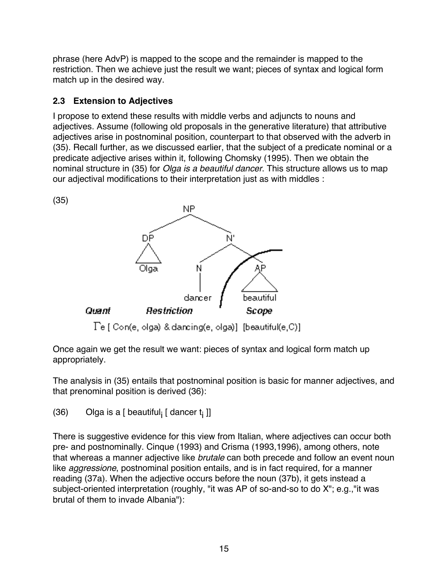phrase (here AdvP) is mapped to the scope and the remainder is mapped to the restriction. Then we achieve just the result we want; pieces of syntax and logical form match up in the desired way.

## **2.3 Extension to Adjectives**

I propose to extend these results with middle verbs and adjuncts to nouns and adjectives. Assume (following old proposals in the generative literature) that attributive adjectives arise in postnominal position, counterpart to that observed with the adverb in (35). Recall further, as we discussed earlier, that the subject of a predicate nominal or a predicate adjective arises within it, following Chomsky (1995). Then we obtain the nominal structure in (35) for *Olga is a beautiful dancer*. This structure allows us to map our adjectival modifications to their interpretation just as with middles :



Once again we get the result we want: pieces of syntax and logical form match up appropriately.

The analysis in (35) entails that postnominal position is basic for manner adjectives, and that prenominal position is derived (36):

(36) Olga is a [ beautiful<sub>i</sub> [ dancer  $t_i$  ]]

There is suggestive evidence for this view from Italian, where adjectives can occur both pre- and postnominally. Cinque (1993) and Crisma (1993,1996), among others, note that whereas a manner adjective like *brutale* can both precede and follow an event noun like *aggressione*, postnominal position entails, and is in fact required, for a manner reading (37a). When the adjective occurs before the noun (37b), it gets instead a subject-oriented interpretation (roughly, "it was AP of so-and-so to do X"; e.g.,"it was brutal of them to invade Albania"):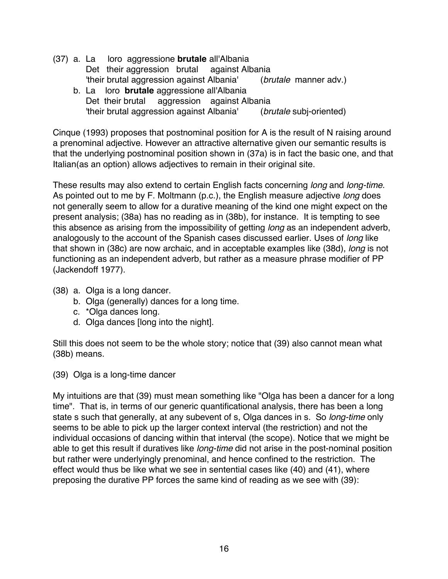- (37) a. La loro aggressione **brutale** all'Albania Det their aggression brutal against Albania 'their brutal aggression against Albania' (*brutale* manner adv.) b. La loro **brutale** aggressione all'Albania
	- Det their brutal aggression against Albania 'their brutal aggression against Albania' (*brutale* subj-oriented)

Cinque (1993) proposes that postnominal position for A is the result of N raising around a prenominal adjective. However an attractive alternative given our semantic results is that the underlying postnominal position shown in (37a) is in fact the basic one, and that Italian(as an option) allows adjectives to remain in their original site.

These results may also extend to certain English facts concerning *long* and *long-time*. As pointed out to me by F. Moltmann (p.c.), the English measure adjective *long* does not generally seem to allow for a durative meaning of the kind one might expect on the present analysis; (38a) has no reading as in (38b), for instance. It is tempting to see this absence as arising from the impossibility of getting *long* as an independent adverb, analogously to the account of the Spanish cases discussed earlier. Uses of *long* like that shown in (38c) are now archaic, and in acceptable examples like (38d), *long* is not functioning as an independent adverb, but rather as a measure phrase modifier of PP (Jackendoff 1977).

- (38) a. Olga is a long dancer.
	- b. Olga (generally) dances for a long time.
	- c. \*Olga dances long.
	- d. Olga dances [long into the night].

Still this does not seem to be the whole story; notice that (39) also cannot mean what (38b) means.

(39) Olga is a long-time dancer

My intuitions are that (39) must mean something like "Olga has been a dancer for a long time". That is, in terms of our generic quantificational analysis, there has been a long state s such that generally, at any subevent of s, Olga dances in s. So *long-time* only seems to be able to pick up the larger context interval (the restriction) and not the individual occasions of dancing within that interval (the scope). Notice that we might be able to get this result if duratives like *long-time* did not arise in the post-nominal position but rather were underlyingly prenominal, and hence confined to the restriction. The effect would thus be like what we see in sentential cases like (40) and (41), where preposing the durative PP forces the same kind of reading as we see with (39):